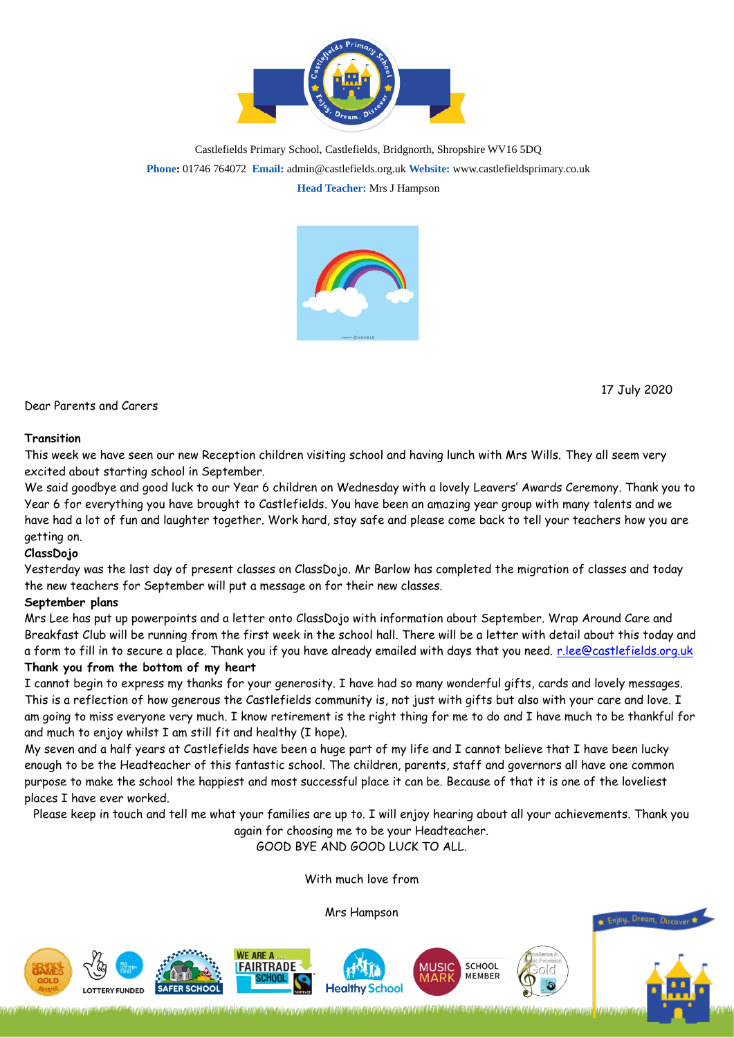

Castlefields Primary School, Castlefields, Bridgnorth, Shropshire WV16 5DQ **Phone:** 01746 764072 **Email:** admin@castlefields.org.uk **Website:** www.castlefieldsprimary.co.uk **Head Teacher:** Mrs J Hampson



D[ear P](https://creativecommons.org/licenses/by/3.0/)arents and Care[rs](https://creativecommons.org/licenses/by/3.0/)

## 17 July 2020

## **Transition**

This week we have seen our new Reception children visiting school and having lunch with Mrs Wills. They all seem very excited about starting school in September.

We said goodbye and good luck to our Year 6 children on Wednesday with a lovely Leavers' Awards Ceremony. Thank you to Year 6 for everything you have brought to Castlefields. You have been an amazing year group with many talents and we have had a lot of fun and laughter together. Work hard, stay safe and please come back to tell your teachers how you are getting on.

## **ClassDojo**

Yesterday was the last day of present classes on ClassDojo. Mr Barlow has completed the migration of classes and today the new teachers for September will put a message on for their new classes.

## **September plans**

Mrs Lee has put up powerpoints and a letter onto ClassDojo with information about September. Wrap Around Care and Breakfast Club will be running from the first week in the school hall. There will be a letter with detail about this today and a form to fill in to secure a place. Thank you if you have already emailed with days that you need. [r.lee@castlefields.org.uk](mailto:r.lee@castlefields.org.uk) **Thank you from the bottom of my heart**

I cannot begin to express my thanks for your generosity. I have had so many wonderful gifts, cards and lovely messages. This is a reflection of how generous the Castlefields community is, not just with gifts but also with your care and love. I am going to miss everyone very much. I know retirement is the right thing for me to do and I have much to be thankful for and much to enjoy whilst I am still fit and healthy (I hope).

My seven and a half years at Castlefields have been a huge part of my life and I cannot believe that I have been lucky enough to be the Headteacher of this fantastic school. The children, parents, staff and governors all have one common purpose to make the school the happiest and most successful place it can be. Because of that it is one of the loveliest places I have ever worked.

Please keep in touch and tell me what your families are up to. I will enjoy hearing about all your achievements. Thank you

again for choosing me to be your Headteacher.

GOOD BYE AND GOOD LUCK TO ALL.

With much love from

Mrs Hampson

<u>on on mere a relative and the non-photographene</u>